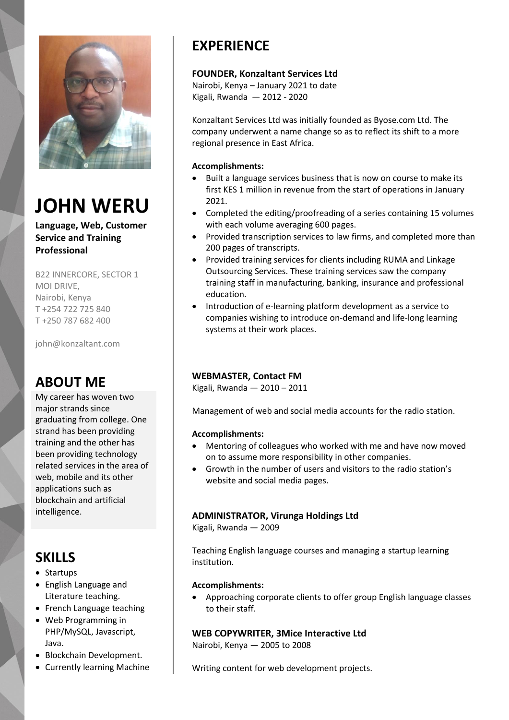

# **JOHN WERU**

**Language, Web, Customer Service and Training Professional**

B22 INNERCORE, SECTOR 1 MOI DRIVE, Nairobi, Kenya T +254 722 725 840 T +250 787 682 400

john@konzaltant.com

## **ABOUT ME**

My career has woven two major strands since graduating from college. One strand has been providing training and the other has been providing technology related services in the area of web, mobile and its other applications such as blockchain and artificial intelligence.

# **SKILLS**

- Startups
- English Language and Literature teaching.
- French Language teaching
- Web Programming in PHP/MySQL, Javascript, Java.
- Blockchain Development.
- Currently learning Machine

# **EXPERIENCE**

#### **FOUNDER, Konzaltant Services Ltd**

Nairobi, Kenya – January 2021 to date Kigali, Rwanda — 2012 - 2020

Konzaltant Services Ltd was initially founded as Byose.com Ltd. The company underwent a name change so as to reflect its shift to a more regional presence in East Africa.

#### **Accomplishments:**

- Built a language services business that is now on course to make its first KES 1 million in revenue from the start of operations in January 2021.
- Completed the editing/proofreading of a series containing 15 volumes with each volume averaging 600 pages.
- Provided transcription services to law firms, and completed more than 200 pages of transcripts.
- Provided training services for clients including RUMA and Linkage Outsourcing Services. These training services saw the company training staff in manufacturing, banking, insurance and professional education.
- Introduction of e-learning platform development as a service to companies wishing to introduce on-demand and life-long learning systems at their work places.

#### **WEBMASTER, Contact FM**

Kigali, Rwanda — 2010 – 2011

Management of web and social media accounts for the radio station.

#### **Accomplishments:**

- Mentoring of colleagues who worked with me and have now moved on to assume more responsibility in other companies.
- Growth in the number of users and visitors to the radio station's website and social media pages.

#### **ADMINISTRATOR, Virunga Holdings Ltd**

Kigali, Rwanda — 2009

Teaching English language courses and managing a startup learning institution.

#### **Accomplishments:**

 Approaching corporate clients to offer group English language classes to their staff.

#### **WEB COPYWRITER, 3Mice Interactive Ltd**

Nairobi, Kenya — 2005 to 2008

Writing content for web development projects.